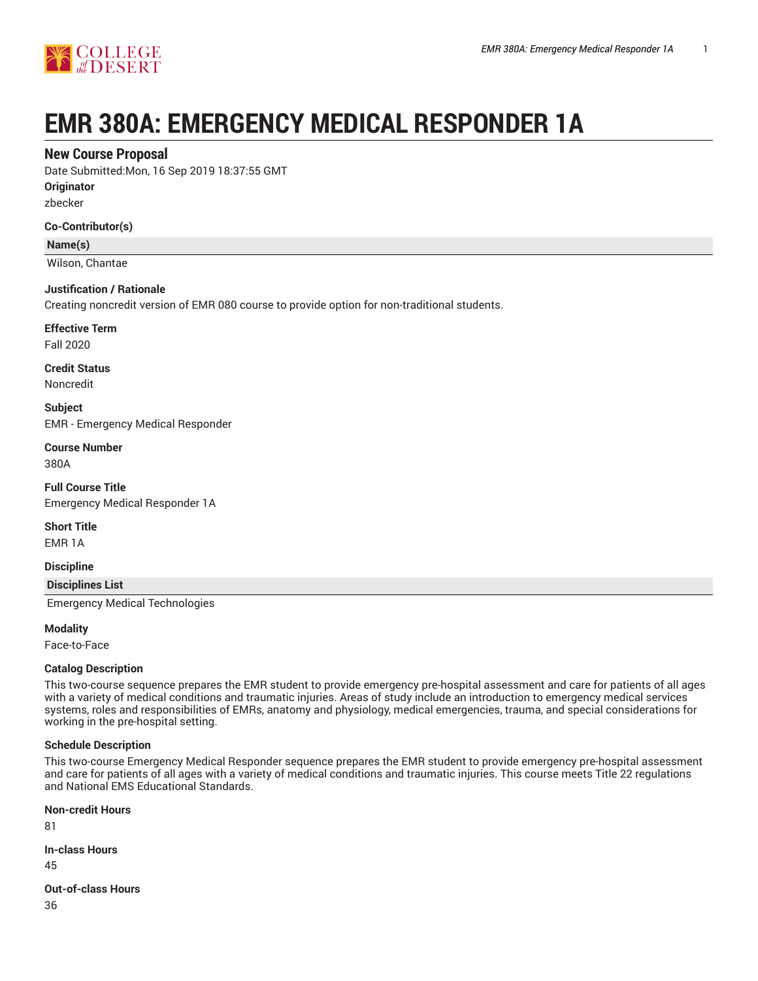

# **EMR 380A: EMERGENCY MEDICAL RESPONDER 1A**

## **New Course Proposal**

Date Submitted:Mon, 16 Sep 2019 18:37:55 GMT

**Originator**

zbecker

#### **Co-Contributor(s)**

**Name(s)**

Wilson, Chantae

#### **Justification / Rationale**

Creating noncredit version of EMR 080 course to provide option for non-traditional students.

**Effective Term**

Fall 2020

**Credit Status** Noncredit

**Subject**

EMR - Emergency Medical Responder

**Course Number** 380A

**Full Course Title** Emergency Medical Responder 1A

**Short Title**

EMR 1A

**Discipline**

#### **Disciplines List**

Emergency Medical Technologies

**Modality**

Face-to-Face

#### **Catalog Description**

This two-course sequence prepares the EMR student to provide emergency pre-hospital assessment and care for patients of all ages with a variety of medical conditions and traumatic injuries. Areas of study include an introduction to emergency medical services systems, roles and responsibilities of EMRs, anatomy and physiology, medical emergencies, trauma, and special considerations for working in the pre-hospital setting.

#### **Schedule Description**

This two-course Emergency Medical Responder sequence prepares the EMR student to provide emergency pre-hospital assessment and care for patients of all ages with a variety of medical conditions and traumatic injuries. This course meets Title 22 regulations and National EMS Educational Standards.

**Non-credit Hours**

81

**In-class Hours**

45

**Out-of-class Hours**

36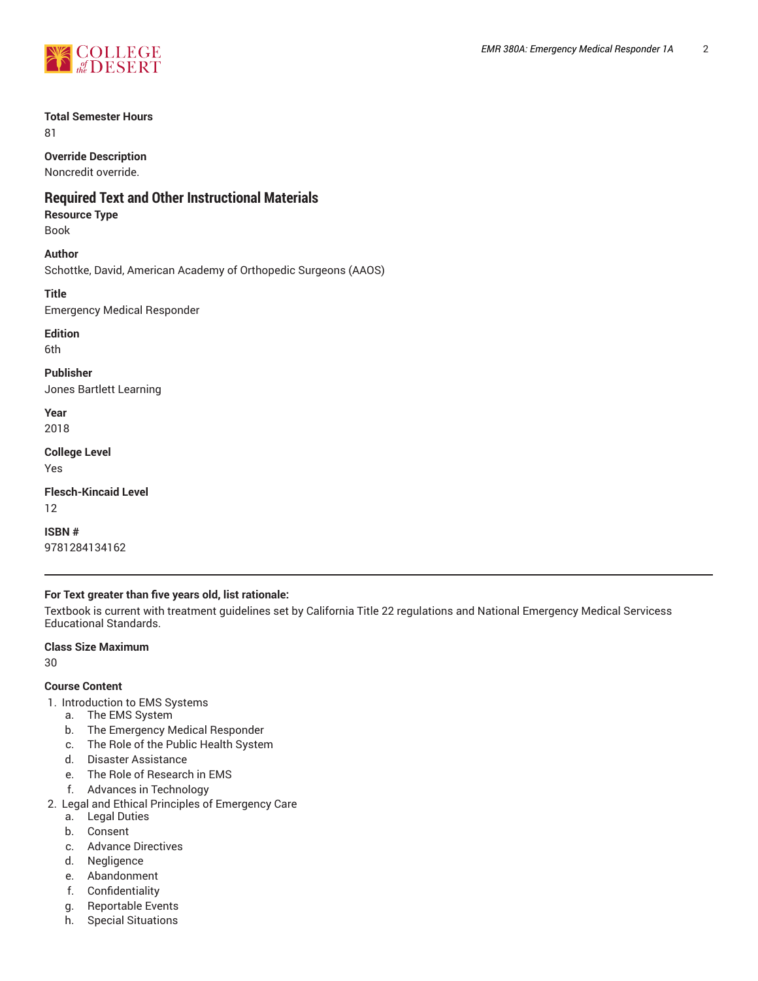

## **Total Semester Hours**

81

**Override Description**

Noncredit override.

## **Required Text and Other Instructional Materials**

## **Resource Type**

Book

## **Author**

Schottke, David, American Academy of Orthopedic Surgeons (AAOS)

**Title**

Emergency Medical Responder

**Edition**

6th

**Publisher** Jones Bartlett Learning

**Year** 2018

**College Level**

Yes

**Flesch-Kincaid Level** 12

**ISBN #** 9781284134162

## **For Text greater than five years old, list rationale:**

Textbook is current with treatment guidelines set by California Title 22 regulations and National Emergency Medical Servicess Educational Standards.

## **Class Size Maximum**

30

## **Course Content**

- 1. Introduction to EMS Systems
	- a. The EMS System
	- b. The Emergency Medical Responder
	- c. The Role of the Public Health System
	- d. Disaster Assistance
	- e. The Role of Research in EMS
	- f. Advances in Technology
- 2. Legal and Ethical Principles of Emergency Care
	- a. Legal Duties
	- b. Consent
	- c. Advance Directives
	- d. Negligence
	- e. Abandonment
	- f. Confidentiality
	- g. Reportable Events
	- h. Special Situations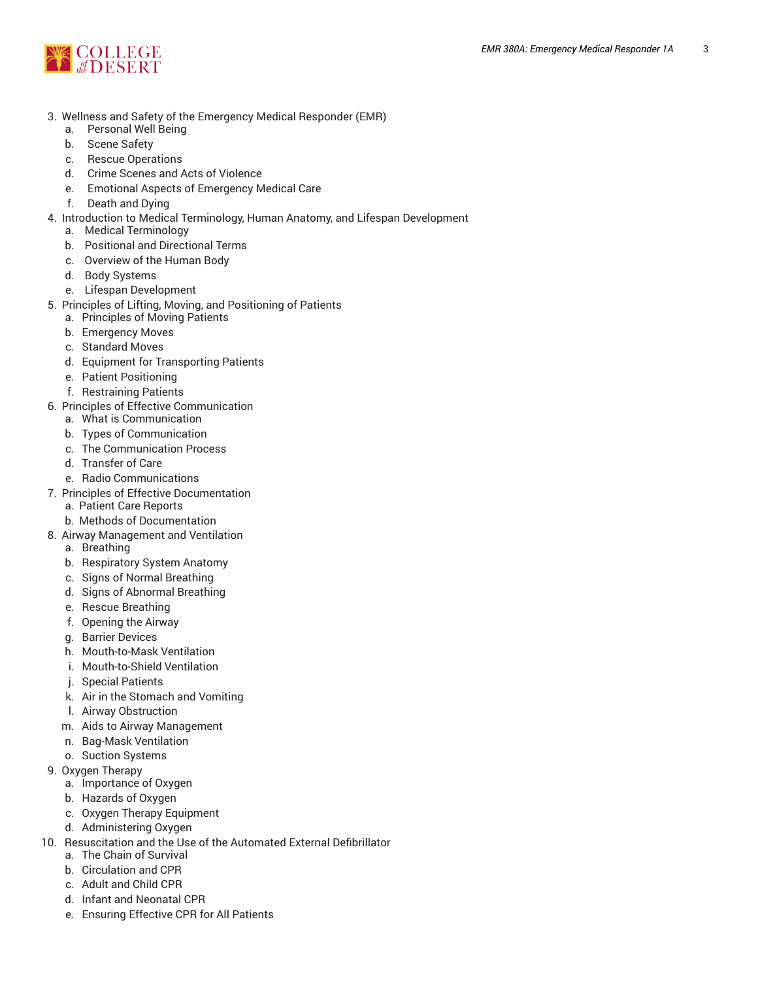

- 3. Wellness and Safety of the Emergency Medical Responder (EMR)
	- a. Personal Well Being
	- b. Scene Safety
	- c. Rescue Operations
	- d. Crime Scenes and Acts of Violence
	- e. Emotional Aspects of Emergency Medical Care
	- f. Death and Dying
- 4. Introduction to Medical Terminology, Human Anatomy, and Lifespan Development
	- a. Medical Terminology
	- b. Positional and Directional Terms
	- c. Overview of the Human Body
	- d. Body Systems
	- e. Lifespan Development
- 5. Principles of Lifting, Moving, and Positioning of Patients
	- a. Principles of Moving Patients
	- b. Emergency Moves
	- c. Standard Moves
	- d. Equipment for Transporting Patients
	- e. Patient Positioning
	- f. Restraining Patients
- 6. Principles of Effective Communication
	- a. What is Communication
	- b. Types of Communication
	- c. The Communication Process
	- d. Transfer of Care
	- e. Radio Communications
- 7. Principles of Effective Documentation
	- a. Patient Care Reports
	- b. Methods of Documentation
- 8. Airway Management and Ventilation
	- a. Breathing
	- b. Respiratory System Anatomy
	- c. Signs of Normal Breathing
	- d. Signs of Abnormal Breathing
	- e. Rescue Breathing
	- f. Opening the Airway
	- g. Barrier Devices
	- h. Mouth-to-Mask Ventilation
	- i. Mouth-to-Shield Ventilation
	- j. Special Patients
	- k. Air in the Stomach and Vomiting
	- l. Airway Obstruction
	- m. Aids to Airway Management
	- n. Bag-Mask Ventilation
	- o. Suction Systems
- 9. Oxygen Therapy
	- a. Importance of Oxygen
	- b. Hazards of Oxygen
	- c. Oxygen Therapy Equipment
	- d. Administering Oxygen
- 10. Resuscitation and the Use of the Automated External Defibrillator
	- a. The Chain of Survival
	- b. Circulation and CPR
	- c. Adult and Child CPR
	- d. Infant and Neonatal CPR
	- e. Ensuring Effective CPR for All Patients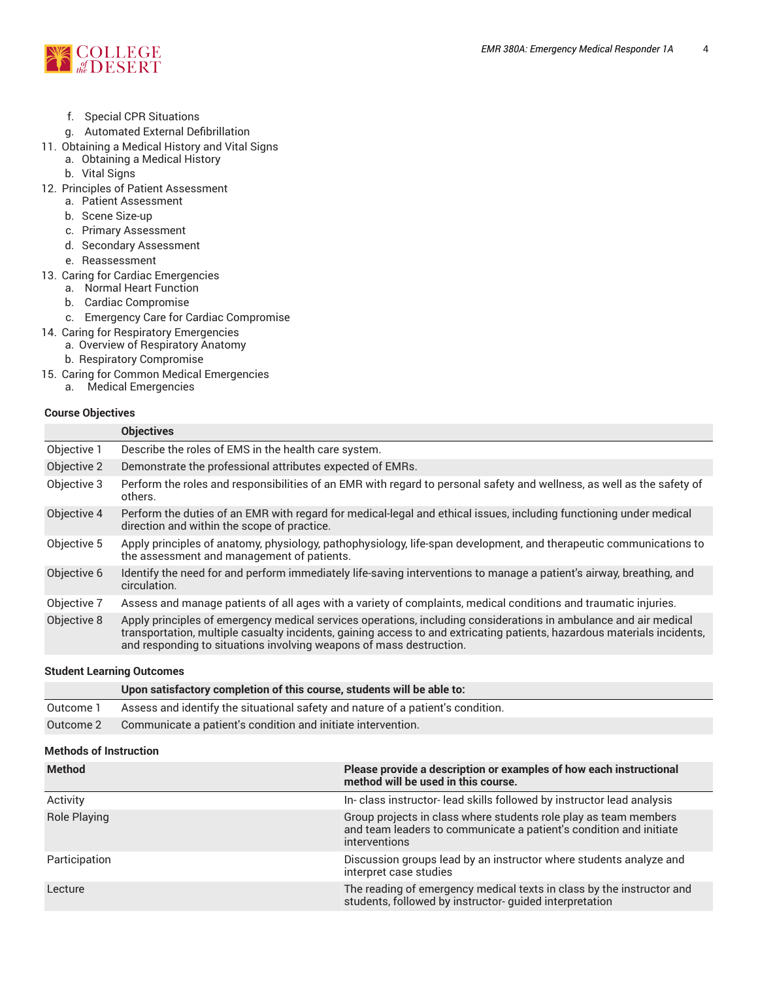

- f. Special CPR Situations
- g. Automated External Defibrillation
- 11. Obtaining a Medical History and Vital Signs
	- a. Obtaining a Medical History
	- b. Vital Signs
- 12. Principles of Patient Assessment
	- a. Patient Assessment
	- b. Scene Size-up
	- c. Primary Assessment
	- d. Secondary Assessment
	- e. Reassessment
- 13. Caring for Cardiac Emergencies
	- a. Normal Heart Function
	- b. Cardiac Compromise
	- c. Emergency Care for Cardiac Compromise
- 14. Caring for Respiratory Emergencies
	- a. Overview of Respiratory Anatomy
	- b. Respiratory Compromise
- 15. Caring for Common Medical Emergencies
	- a. Medical Emergencies

#### **Course Objectives**

|             | <b>Objectives</b>                                                                                                                                                                                                                                                                                                  |
|-------------|--------------------------------------------------------------------------------------------------------------------------------------------------------------------------------------------------------------------------------------------------------------------------------------------------------------------|
| Objective 1 | Describe the roles of EMS in the health care system.                                                                                                                                                                                                                                                               |
| Objective 2 | Demonstrate the professional attributes expected of EMRs.                                                                                                                                                                                                                                                          |
| Objective 3 | Perform the roles and responsibilities of an EMR with regard to personal safety and wellness, as well as the safety of<br>others.                                                                                                                                                                                  |
| Objective 4 | Perform the duties of an EMR with regard for medical-legal and ethical issues, including functioning under medical<br>direction and within the scope of practice.                                                                                                                                                  |
| Objective 5 | Apply principles of anatomy, physiology, pathophysiology, life-span development, and therapeutic communications to<br>the assessment and management of patients.                                                                                                                                                   |
| Objective 6 | Identify the need for and perform immediately life-saving interventions to manage a patient's airway, breathing, and<br>circulation.                                                                                                                                                                               |
| Objective 7 | Assess and manage patients of all ages with a variety of complaints, medical conditions and traumatic injuries.                                                                                                                                                                                                    |
| Objective 8 | Apply principles of emergency medical services operations, including considerations in ambulance and air medical<br>transportation, multiple casualty incidents, gaining access to and extricating patients, hazardous materials incidents,<br>and responding to situations involving weapons of mass destruction. |

#### **Student Learning Outcomes**

|           | Upon satisfactory completion of this course, students will be able to:          |
|-----------|---------------------------------------------------------------------------------|
| Outcome 1 | Assess and identify the situational safety and nature of a patient's condition. |
| Outcome 2 | Communicate a patient's condition and initiate intervention.                    |

## **Methods of Instruction**

| <b>Method</b>       | Please provide a description or examples of how each instructional<br>method will be used in this course.                                               |
|---------------------|---------------------------------------------------------------------------------------------------------------------------------------------------------|
| Activity            | In-class instructor-lead skills followed by instructor lead analysis                                                                                    |
| <b>Role Playing</b> | Group projects in class where students role play as team members<br>and team leaders to communicate a patient's condition and initiate<br>interventions |
| Participation       | Discussion groups lead by an instructor where students analyze and<br>interpret case studies                                                            |
| Lecture             | The reading of emergency medical texts in class by the instructor and<br>students, followed by instructor- quided interpretation                        |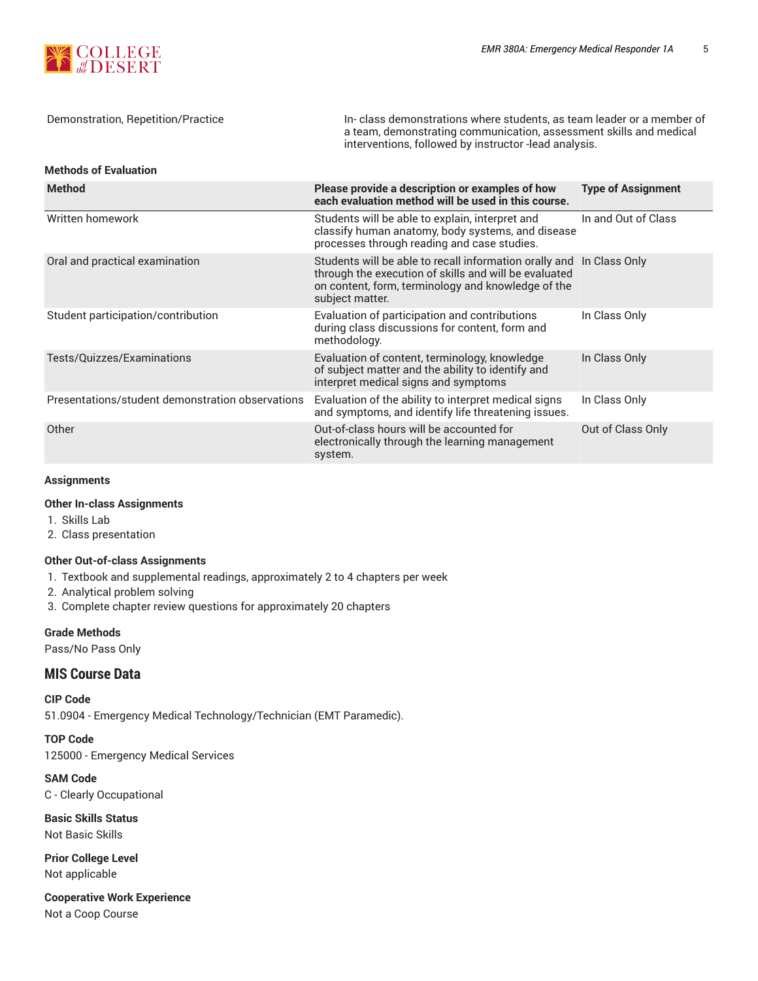

Demonstration, Repetition/Practice In- class demonstrations where students, as team leader or a member of a team, demonstrating communication, assessment skills and medical interventions, followed by instructor -lead analysis.

#### **Methods of Evaluation**

| <b>Method</b>                                    | Please provide a description or examples of how<br>each evaluation method will be used in this course.                                                                                                 | <b>Type of Assignment</b> |
|--------------------------------------------------|--------------------------------------------------------------------------------------------------------------------------------------------------------------------------------------------------------|---------------------------|
| Written homework                                 | Students will be able to explain, interpret and<br>classify human anatomy, body systems, and disease<br>processes through reading and case studies.                                                    | In and Out of Class       |
| Oral and practical examination                   | Students will be able to recall information orally and In Class Only<br>through the execution of skills and will be evaluated<br>on content, form, terminology and knowledge of the<br>subject matter. |                           |
| Student participation/contribution               | Evaluation of participation and contributions<br>during class discussions for content, form and<br>methodology.                                                                                        | In Class Only             |
| Tests/Quizzes/Examinations                       | Evaluation of content, terminology, knowledge<br>of subject matter and the ability to identify and<br>interpret medical signs and symptoms                                                             | In Class Only             |
| Presentations/student demonstration observations | Evaluation of the ability to interpret medical signs<br>and symptoms, and identify life threatening issues.                                                                                            | In Class Only             |
| Other                                            | Out-of-class hours will be accounted for<br>electronically through the learning management<br>system.                                                                                                  | Out of Class Only         |

#### **Assignments**

## **Other In-class Assignments**

- 1. Skills Lab
- 2. Class presentation

#### **Other Out-of-class Assignments**

- 1. Textbook and supplemental readings, approximately 2 to 4 chapters per week
- 2. Analytical problem solving
- 3. Complete chapter review questions for approximately 20 chapters

## **Grade Methods**

Pass/No Pass Only

## **MIS Course Data**

**CIP Code** 51.0904 - Emergency Medical Technology/Technician (EMT Paramedic).

**TOP Code** 125000 - Emergency Medical Services

**SAM Code** C - Clearly Occupational

**Basic Skills Status** Not Basic Skills

**Prior College Level** Not applicable

**Cooperative Work Experience**

Not a Coop Course